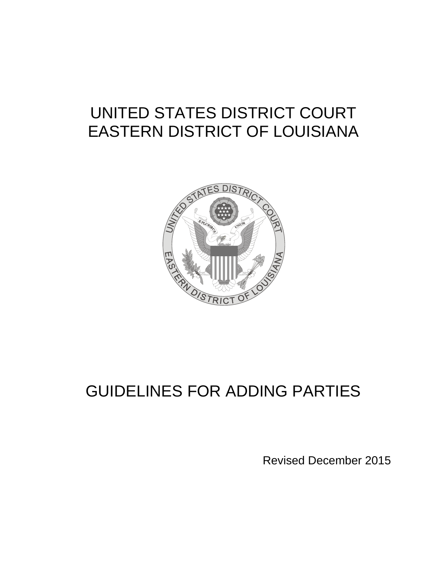# UNITED STATES DISTRICT COURT EASTERN DISTRICT OF LOUISIANA



# GUIDELINES FOR ADDING PARTIES

Revised December 2015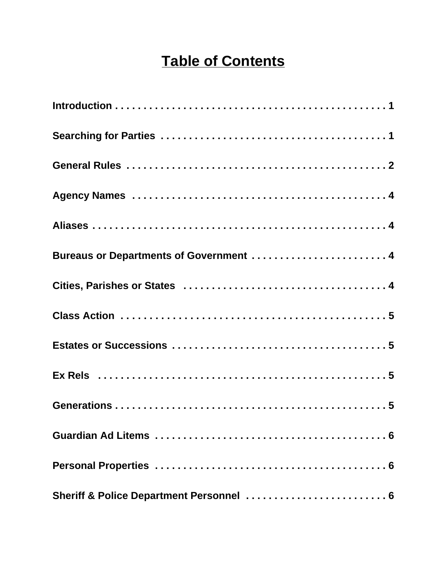# **Table of Contents**

| Bureaus or Departments of Government  4  |
|------------------------------------------|
|                                          |
|                                          |
|                                          |
|                                          |
|                                          |
|                                          |
|                                          |
| Sheriff & Police Department Personnel  6 |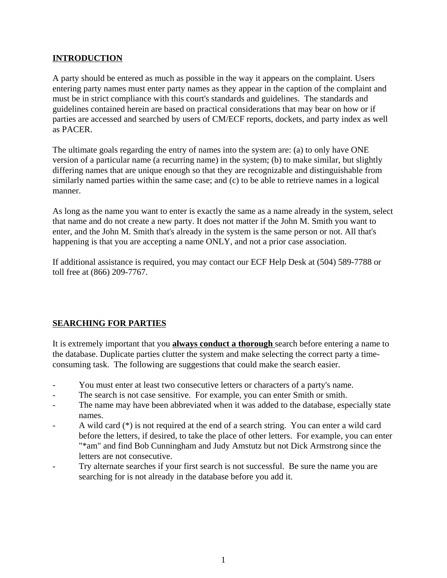# **INTRODUCTION**

A party should be entered as much as possible in the way it appears on the complaint. Users entering party names must enter party names as they appear in the caption of the complaint and must be in strict compliance with this court's standards and guidelines. The standards and guidelines contained herein are based on practical considerations that may bear on how or if parties are accessed and searched by users of CM/ECF reports, dockets, and party index as well as PACER.

The ultimate goals regarding the entry of names into the system are: (a) to only have ONE version of a particular name (a recurring name) in the system; (b) to make similar, but slightly differing names that are unique enough so that they are recognizable and distinguishable from similarly named parties within the same case; and (c) to be able to retrieve names in a logical manner.

As long as the name you want to enter is exactly the same as a name already in the system, select that name and do not create a new party. It does not matter if the John M. Smith you want to enter, and the John M. Smith that's already in the system is the same person or not. All that's happening is that you are accepting a name ONLY, and not a prior case association.

If additional assistance is required, you may contact our ECF Help Desk at (504) 589-7788 or toll free at (866) 209-7767.

# **SEARCHING FOR PARTIES**

It is extremely important that you **always conduct a thorough** search before entering a name to the database. Duplicate parties clutter the system and make selecting the correct party a timeconsuming task. The following are suggestions that could make the search easier.

- You must enter at least two consecutive letters or characters of a party's name.
- The search is not case sensitive. For example, you can enter Smith or smith.
- The name may have been abbreviated when it was added to the database, especially state names.
- A wild card (\*) is not required at the end of a search string. You can enter a wild card before the letters, if desired, to take the place of other letters. For example, you can enter "\*am" and find Bob Cunningham and Judy Amstutz but not Dick Armstrong since the letters are not consecutive.
- Try alternate searches if your first search is not successful. Be sure the name you are searching for is not already in the database before you add it.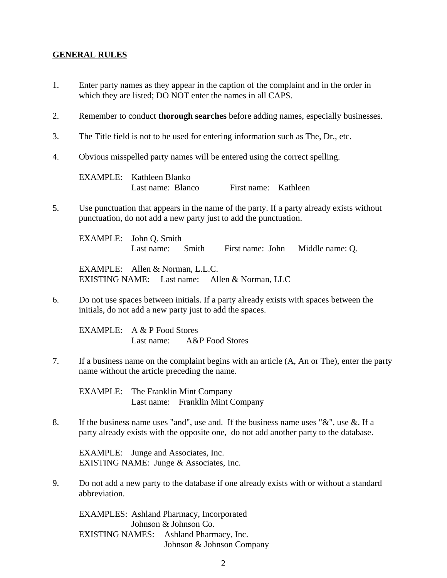#### **GENERAL RULES**

- 1. Enter party names as they appear in the caption of the complaint and in the order in which they are listed; DO NOT enter the names in all CAPS.
- 2. Remember to conduct **thorough searches** before adding names, especially businesses.
- 3. The Title field is not to be used for entering information such as The, Dr., etc.
- 4. Obvious misspelled party names will be entered using the correct spelling.

EXAMPLE: Kathleen Blanko Last name: Blanco First name: Kathleen

5. Use punctuation that appears in the name of the party. If a party already exists without punctuation, do not add a new party just to add the punctuation.

EXAMPLE: John Q. Smith Last name: Smith First name: John Middle name: Q.

EXAMPLE: Allen & Norman, L.L.C. EXISTING NAME: Last name: Allen & Norman, LLC

6. Do not use spaces between initials. If a party already exists with spaces between the initials, do not add a new party just to add the spaces.

EXAMPLE: A & P Food Stores Last name: A&P Food Stores

7. If a business name on the complaint begins with an article (A, An or The), enter the party name without the article preceding the name.

EXAMPLE: The Franklin Mint Company Last name: Franklin Mint Company

8. If the business name uses "and", use and. If the business name uses " $\&$ ", use  $\&$ . If a party already exists with the opposite one, do not add another party to the database.

EXAMPLE: Junge and Associates, Inc. EXISTING NAME: Junge & Associates, Inc.

9. Do not add a new party to the database if one already exists with or without a standard abbreviation.

EXAMPLES: Ashland Pharmacy, Incorporated Johnson & Johnson Co. EXISTING NAMES: Ashland Pharmacy, Inc. Johnson & Johnson Company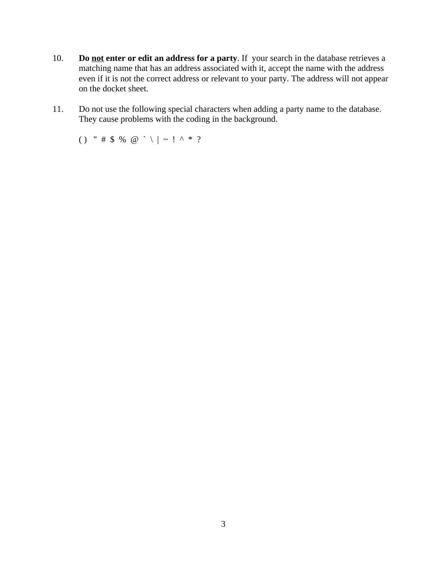- 10. **Do not enter or edit an address for a party**. If your search in the database retrieves a matching name that has an address associated with it, accept the name with the address even if it is not the correct address or relevant to your party. The address will not appear on the docket sheet.
- 11. Do not use the following special characters when adding a party name to the database. They cause problems with the coding in the background.

( ) " # \$ % @ ` \ | ~ ! ^ \* ?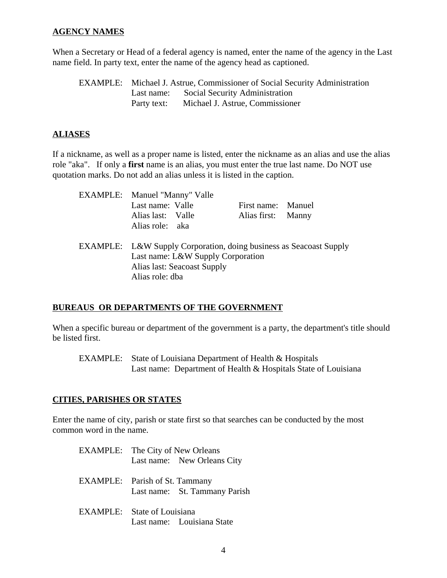#### **AGENCY NAMES**

When a Secretary or Head of a federal agency is named, enter the name of the agency in the Last name field. In party text, enter the name of the agency head as captioned.

EXAMPLE: Michael J. Astrue, Commissioner of Social Security Administration Last name: Social Security Administration Party text: Michael J. Astrue, Commissioner

# **ALIASES**

If a nickname, as well as a proper name is listed, enter the nickname as an alias and use the alias role "aka". If only a **first** name is an alias, you must enter the true last name. Do NOT use quotation marks. Do not add an alias unless it is listed in the caption.

| EXAMPLE: Manuel "Manny" Valle<br>Last name: Valle<br>Alias last: Valle<br>Alias role: aka                                                                 | First name: Manuel<br>Alias first: Manny |  |
|-----------------------------------------------------------------------------------------------------------------------------------------------------------|------------------------------------------|--|
| EXAMPLE: L&W Supply Corporation, doing business as Seacoast Supply<br>Last name: L&W Supply Corporation<br>Alias last: Seacoast Supply<br>Alias role: dba |                                          |  |

# **BUREAUS OR DEPARTMENTS OF THE GOVERNMENT**

When a specific bureau or department of the government is a party, the department's title should be listed first.

EXAMPLE: State of Louisiana Department of Health & Hospitals Last name: Department of Health & Hospitals State of Louisiana

# **CITIES, PARISHES OR STATES**

Enter the name of city, parish or state first so that searches can be conducted by the most common word in the name.

| <b>EXAMPLE:</b> The City of New Orleans                                |  |  |  |  |
|------------------------------------------------------------------------|--|--|--|--|
| Last name: New Orleans City                                            |  |  |  |  |
| <b>EXAMPLE:</b> Parish of St. Tammany<br>Last name: St. Tammany Parish |  |  |  |  |
| EXAMPLE: State of Louisiana<br>Last name: Louisiana State              |  |  |  |  |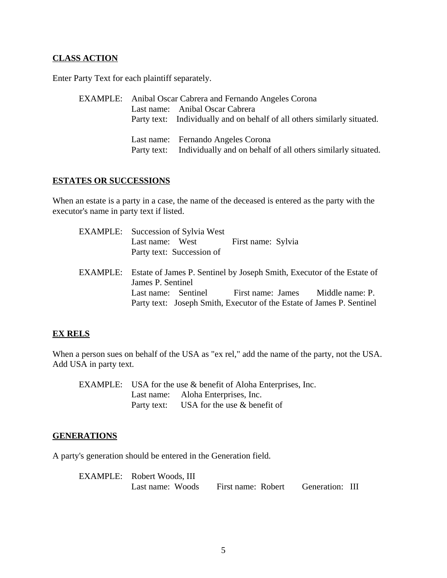## **CLASS ACTION**

Enter Party Text for each plaintiff separately.

EXAMPLE: Anibal Oscar Cabrera and Fernando Angeles Corona Last name: Anibal Oscar Cabrera Party text: Individually and on behalf of all others similarly situated. Last name: Fernando Angeles Corona Party text: Individually and on behalf of all others similarly situated.

#### **ESTATES OR SUCCESSIONS**

When an estate is a party in a case, the name of the deceased is entered as the party with the executor's name in party text if listed.

| <b>EXAMPLE:</b> Succession of Sylvia West                                       |                    |  |
|---------------------------------------------------------------------------------|--------------------|--|
| Last name: West                                                                 | First name: Sylvia |  |
| Party text: Succession of                                                       |                    |  |
| EXAMPLE: Estate of James P. Sentinel by Joseph Smith, Executor of the Estate of |                    |  |
| James P. Sentinel                                                               |                    |  |
| Last name: Sentinel First name: James Middle name: P.                           |                    |  |
| Party text: Joseph Smith, Executor of the Estate of James P. Sentinel           |                    |  |

#### **EX RELS**

When a person sues on behalf of the USA as "ex rel," add the name of the party, not the USA. Add USA in party text.

EXAMPLE: USA for the use & benefit of Aloha Enterprises, Inc. Last name: Aloha Enterprises, Inc. Party text: USA for the use & benefit of

#### **GENERATIONS**

A party's generation should be entered in the Generation field.

| EXAMPLE: Robert Woods, III |                    |                 |  |
|----------------------------|--------------------|-----------------|--|
| Last name: Woods           | First name: Robert | Generation: III |  |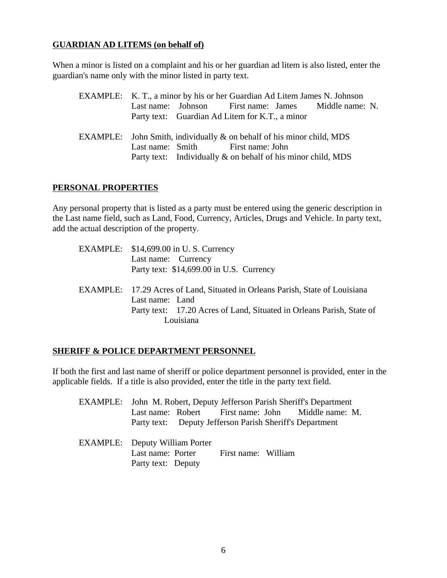## **GUARDIAN AD LITEMS (on behalf of)**

When a minor is listed on a complaint and his or her guardian ad litem is also listed, enter the guardian's name only with the minor listed in party text.

EXAMPLE: K. T., a minor by his or her Guardian Ad Litem James N. Johnson Last name: Johnson First name: James Middle name: N. Party text: Guardian Ad Litem for K.T., a minor EXAMPLE: John Smith, individually & on behalf of his minor child, MDS Last name: Smith First name: John Party text: Individually & on behalf of his minor child, MDS

## **PERSONAL PROPERTIES**

Any personal property that is listed as a party must be entered using the generic description in the Last name field, such as Land, Food, Currency, Articles, Drugs and Vehicle. In party text, add the actual description of the property.

| EXAMPLE: \$14,699.00 in U.S. Currency                                        |
|------------------------------------------------------------------------------|
| Last name: Currency                                                          |
| Party text: \$14,699.00 in U.S. Currency                                     |
| EXAMPLE: 17.29 Acres of Land, Situated in Orleans Parish, State of Louisiana |
| Last name: Land                                                              |
| Party text: 17.20 Acres of Land, Situated in Orleans Parish, State of        |
| Louisiana                                                                    |
|                                                                              |

# **SHERIFF & POLICE DEPARTMENT PERSONNEL**

If both the first and last name of sheriff or police department personnel is provided, enter in the applicable fields. If a title is also provided, enter the title in the party text field.

- EXAMPLE: John M. Robert, Deputy Jefferson Parish Sheriff's Department Last name: Robert First name: John Middle name: M. Party text: Deputy Jefferson Parish Sheriff's Department
- EXAMPLE: Deputy William Porter Last name: Porter First name: William Party text: Deputy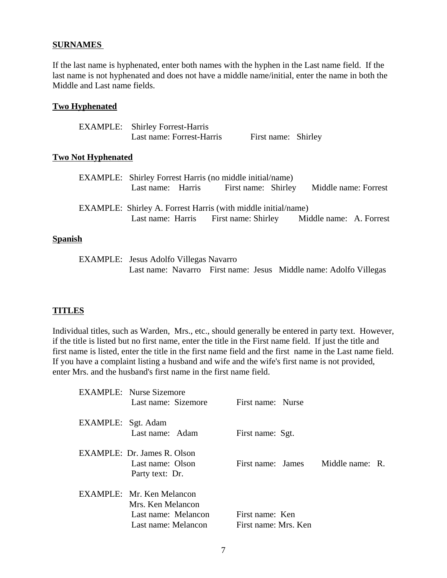#### **SURNAMES**

If the last name is hyphenated, enter both names with the hyphen in the Last name field. If the last name is not hyphenated and does not have a middle name/initial, enter the name in both the Middle and Last name fields.

#### **Two Hyphenated**

| <b>EXAMPLE:</b> Shirley Forrest-Harris |                     |  |
|----------------------------------------|---------------------|--|
| Last name: Forrest-Harris              | First name: Shirley |  |

#### **Two Not Hyphenated**

|                |  | EXAMPLE: Shirley Forrest Harris (no middle initial/name)                                                                              |                      |  |
|----------------|--|---------------------------------------------------------------------------------------------------------------------------------------|----------------------|--|
|                |  | Last name: Harris First name: Shirley                                                                                                 | Middle name: Forrest |  |
|                |  | <b>EXAMPLE:</b> Shirley A. Forrest Harris (with middle initial/name)<br>Last name: Harris First name: Shirley Middle name: A. Forrest |                      |  |
| <b>Spanish</b> |  |                                                                                                                                       |                      |  |

EXAMPLE: Jesus Adolfo Villegas Navarro Last name: Navarro First name: Jesus Middle name: Adolfo Villegas

#### **TITLES**

Individual titles, such as Warden, Mrs., etc., should generally be entered in party text. However, if the title is listed but no first name, enter the title in the First name field. If just the title and first name is listed, enter the title in the first name field and the first name in the Last name field. If you have a complaint listing a husband and wife and the wife's first name is not provided, enter Mrs. and the husband's first name in the first name field.

|                    | <b>EXAMPLE:</b> Nurse Sizemore<br>Last name: Sizemore                                        | First name: Nurse                       |  |
|--------------------|----------------------------------------------------------------------------------------------|-----------------------------------------|--|
| EXAMPLE: Sgt. Adam | Last name: Adam                                                                              | First name: Sgt.                        |  |
|                    | EXAMPLE: Dr. James R. Olson<br>Last name: Olson<br>Party text: Dr.                           | First name: James Middle name: R.       |  |
|                    | EXAMPLE: Mr. Ken Melancon<br>Mrs. Ken Melancon<br>Last name: Melancon<br>Last name: Melancon | First name: Ken<br>First name: Mrs. Ken |  |